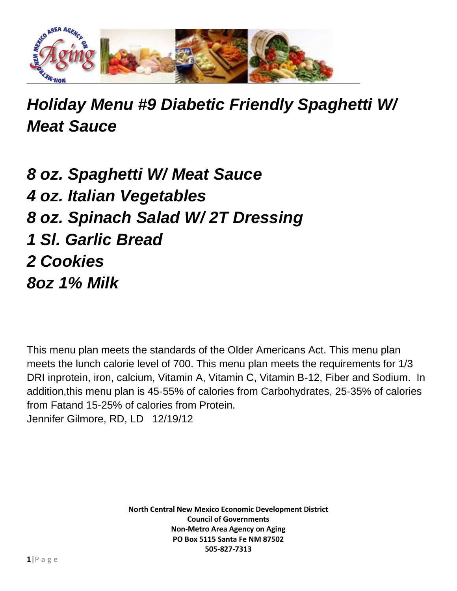

## *Holiday Menu #9 Diabetic Friendly Spaghetti W/ Meat Sauce*

*8 oz. Spaghetti W/ Meat Sauce 4 oz. Italian Vegetables 8 oz. Spinach Salad W/ 2T Dressing 1 Sl. Garlic Bread 2 Cookies 8oz 1% Milk*

This menu plan meets the standards of the Older Americans Act. This menu plan meets the lunch calorie level of 700. This menu plan meets the requirements for 1/3 DRI inprotein, iron, calcium, Vitamin A, Vitamin C, Vitamin B-12, Fiber and Sodium. In addition,this menu plan is 45-55% of calories from Carbohydrates, 25-35% of calories from Fatand 15-25% of calories from Protein. Jennifer Gilmore, RD, LD 12/19/12

> **North Central New Mexico Economic Development District Council of Governments Non-Metro Area Agency on Aging PO Box 5115 Santa Fe NM 87502 505-827-7313**